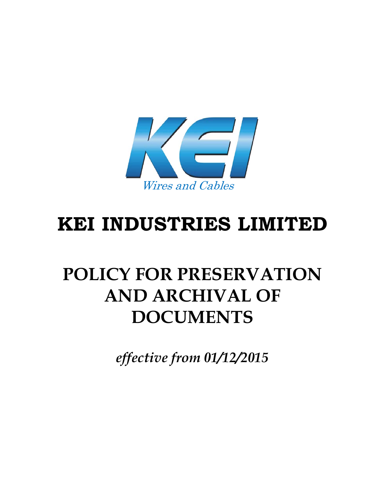

# **KEI INDUSTRIES LIMITED**

## **POLICY FOR PRESERVATION AND ARCHIVAL OF DOCUMENTS**

*effective from 01/12/2015*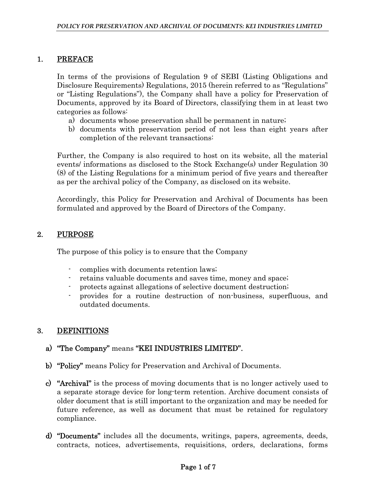#### 1. PREFACE

In terms of the provisions of Regulation 9 of SEBI (Listing Obligations and Disclosure Requirements) Regulations, 2015 (herein referred to as "Regulations" or "Listing Regulations"), the Company shall have a policy for Preservation of Documents, approved by its Board of Directors, classifying them in at least two categories as follows:

- a) documents whose preservation shall be permanent in nature;
- b) documents with preservation period of not less than eight years after completion of the relevant transactions:

Further, the Company is also required to host on its website, all the material events/ informations as disclosed to the Stock Exchange(s) under Regulation 30 (8) of the Listing Regulations for a minimum period of five years and thereafter as per the archival policy of the Company, as disclosed on its website.

Accordingly, this Policy for Preservation and Archival of Documents has been formulated and approved by the Board of Directors of the Company.

#### 2. PURPOSE

The purpose of this policy is to ensure that the Company

- complies with documents retention laws;
- retains valuable documents and saves time, money and space;
- protects against allegations of selective document destruction;
- provides for a routine destruction of non-business, superfluous, and outdated documents.

#### 3. DEFINITIONS

- a) "The Company" means "KEI INDUSTRIES LIMITED".
- b) "Policy" means Policy for Preservation and Archival of Documents.
- c) "Archival" is the process of moving documents that is no longer actively used to a separate storage device for long-term retention. Archive document consists of older document that is still important to the organization and may be needed for future reference, as well as document that must be retained for regulatory compliance.
- d) "Documents" includes all the documents, writings, papers, agreements, deeds, contracts, notices, advertisements, requisitions, orders, declarations, forms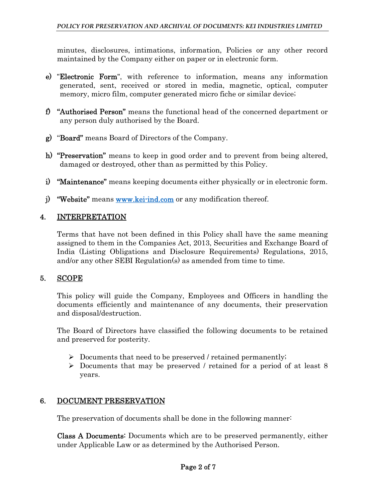minutes, disclosures, intimations, information, Policies or any other record maintained by the Company either on paper or in electronic form.

- e) "Electronic Form", with reference to information, means any information generated, sent, received or stored in media, magnetic, optical, computer memory, micro film, computer generated micro fiche or similar device;
- f) "Authorised Person" means the functional head of the concerned department or any person duly authorised by the Board.
- g) "Board" means Board of Directors of the Company.
- h) "Preservation" means to keep in good order and to prevent from being altered, damaged or destroyed, other than as permitted by this Policy.
- i) "Maintenance" means keeping documents either physically or in electronic form.
- j) "Website" means www.kei-ind.com or any modification thereof.

## 4. INTERPRETATION

Terms that have not been defined in this Policy shall have the same meaning assigned to them in the Companies Act, 2013, Securities and Exchange Board of India (Listing Obligations and Disclosure Requirements) Regulations, 2015, and/or any other SEBI Regulation(s) as amended from time to time.

#### 5. SCOPE

This policy will guide the Company, Employees and Officers in handling the documents efficiently and maintenance of any documents, their preservation and disposal/destruction.

The Board of Directors have classified the following documents to be retained and preserved for posterity.

- $\triangleright$  Documents that need to be preserved / retained permanently;
- Documents that may be preserved / retained for a period of at least 8 years.

## 6. DOCUMENT PRESERVATION

The preservation of documents shall be done in the following manner:

Class A Documents: Documents which are to be preserved permanently, either under Applicable Law or as determined by the Authorised Person.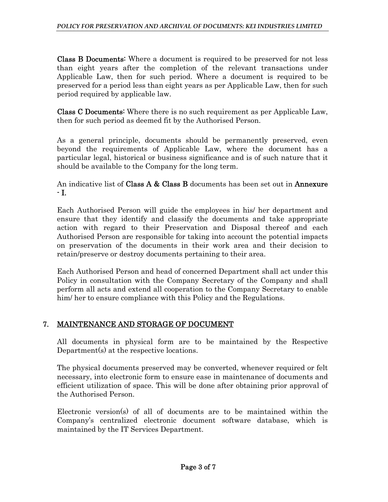Class B Documents: Where a document is required to be preserved for not less than eight years after the completion of the relevant transactions under Applicable Law, then for such period. Where a document is required to be preserved for a period less than eight years as per Applicable Law, then for such period required by applicable law.

Class C Documents: Where there is no such requirement as per Applicable Law, then for such period as deemed fit by the Authorised Person.

As a general principle, documents should be permanently preserved, even beyond the requirements of Applicable Law, where the document has a particular legal, historical or business significance and is of such nature that it should be available to the Company for the long term.

An indicative list of Class A & Class B documents has been set out in Annexure - I.

Each Authorised Person will guide the employees in his/ her department and ensure that they identify and classify the documents and take appropriate action with regard to their Preservation and Disposal thereof and each Authorised Person are responsible for taking into account the potential impacts on preservation of the documents in their work area and their decision to retain/preserve or destroy documents pertaining to their area.

Each Authorised Person and head of concerned Department shall act under this Policy in consultation with the Company Secretary of the Company and shall perform all acts and extend all cooperation to the Company Secretary to enable him/ her to ensure compliance with this Policy and the Regulations.

## 7. MAINTENANCE AND STORAGE OF DOCUMENT

All documents in physical form are to be maintained by the Respective Department(s) at the respective locations.

The physical documents preserved may be converted, whenever required or felt necessary, into electronic form to ensure ease in maintenance of documents and efficient utilization of space. This will be done after obtaining prior approval of the Authorised Person.

Electronic version(s) of all of documents are to be maintained within the Company's centralized electronic document software database, which is maintained by the IT Services Department.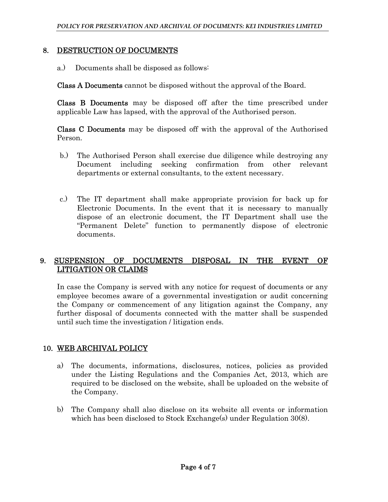#### 8. DESTRUCTION OF DOCUMENTS

a.) Documents shall be disposed as follows:

Class A Documents cannot be disposed without the approval of the Board.

Class B Documents may be disposed off after the time prescribed under applicable Law has lapsed, with the approval of the Authorised person.

Class C Documents may be disposed off with the approval of the Authorised Person.

- b.) The Authorised Person shall exercise due diligence while destroying any Document including seeking confirmation from other relevant departments or external consultants, to the extent necessary.
- c.) The IT department shall make appropriate provision for back up for Electronic Documents. In the event that it is necessary to manually dispose of an electronic document, the IT Department shall use the "Permanent Delete" function to permanently dispose of electronic documents.

#### 9. SUSPENSION OF DOCUMENTS DISPOSAL IN THE EVENT OF LITIGATION OR CLAIMS

In case the Company is served with any notice for request of documents or any employee becomes aware of a governmental investigation or audit concerning the Company or commencement of any litigation against the Company, any further disposal of documents connected with the matter shall be suspended until such time the investigation / litigation ends.

## 10. WEB ARCHIVAL POLICY

- a) The documents, informations, disclosures, notices, policies as provided under the Listing Regulations and the Companies Act, 2013, which are required to be disclosed on the website, shall be uploaded on the website of the Company.
- b) The Company shall also disclose on its website all events or information which has been disclosed to Stock Exchange(s) under Regulation 30(8).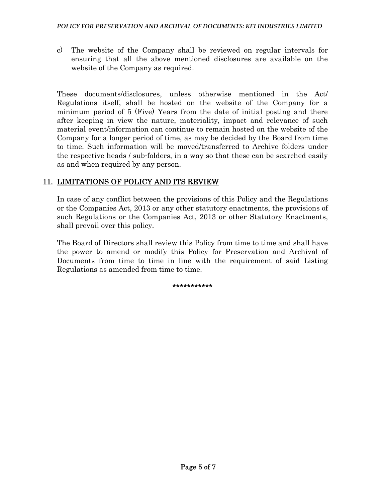c) The website of the Company shall be reviewed on regular intervals for ensuring that all the above mentioned disclosures are available on the website of the Company as required.

These documents/disclosures, unless otherwise mentioned in the Act/ Regulations itself, shall be hosted on the website of the Company for a minimum period of 5 (Five) Years from the date of initial posting and there after keeping in view the nature, materiality, impact and relevance of such material event/information can continue to remain hosted on the website of the Company for a longer period of time, as may be decided by the Board from time to time. Such information will be moved/transferred to Archive folders under the respective heads / sub-folders, in a way so that these can be searched easily as and when required by any person.

#### 11. LIMITATIONS OF POLICY AND ITS REVIEW

In case of any conflict between the provisions of this Policy and the Regulations or the Companies Act, 2013 or any other statutory enactments, the provisions of such Regulations or the Companies Act, 2013 or other Statutory Enactments, shall prevail over this policy.

The Board of Directors shall review this Policy from time to time and shall have the power to amend or modify this Policy for Preservation and Archival of Documents from time to time in line with the requirement of said Listing Regulations as amended from time to time.

\*\*\*\*\*\*\*\*\*\*\*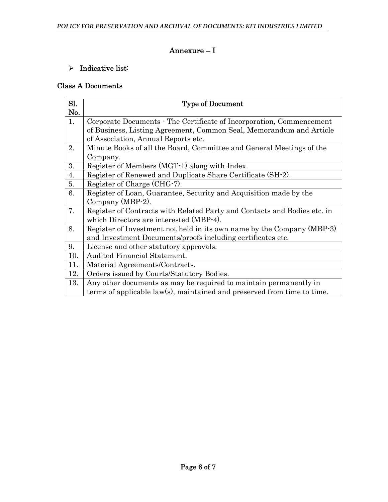## Annexure – I

## $\triangleright$  Indicative list:

## Class A Documents

| Sl. | <b>Type of Document</b>                                                  |
|-----|--------------------------------------------------------------------------|
| No. |                                                                          |
| 1.  | Corporate Documents - The Certificate of Incorporation, Commencement     |
|     | of Business, Listing Agreement, Common Seal, Memorandum and Article      |
|     | of Association, Annual Reports etc.                                      |
| 2.  | Minute Books of all the Board, Committee and General Meetings of the     |
|     | Company.                                                                 |
| 3.  | Register of Members (MGT-1) along with Index.                            |
| 4.  | Register of Renewed and Duplicate Share Certificate (SH-2).              |
| 5.  | Register of Charge (CHG-7).                                              |
| 6.  | Register of Loan, Guarantee, Security and Acquisition made by the        |
|     | Company (MBP-2).                                                         |
| 7.  | Register of Contracts with Related Party and Contacts and Bodies etc. in |
|     | which Directors are interested (MBP-4).                                  |
| 8.  | Register of Investment not held in its own name by the Company (MBP-3)   |
|     | and Investment Documents/proofs including certificates etc.              |
| 9.  | License and other statutory approvals.                                   |
| 10. | Audited Financial Statement.                                             |
| 11. | Material Agreements/Contracts.                                           |
| 12. | Orders issued by Courts/Statutory Bodies.                                |
| 13. | Any other documents as may be required to maintain permanently in        |
|     | terms of applicable law(s), maintained and preserved from time to time.  |